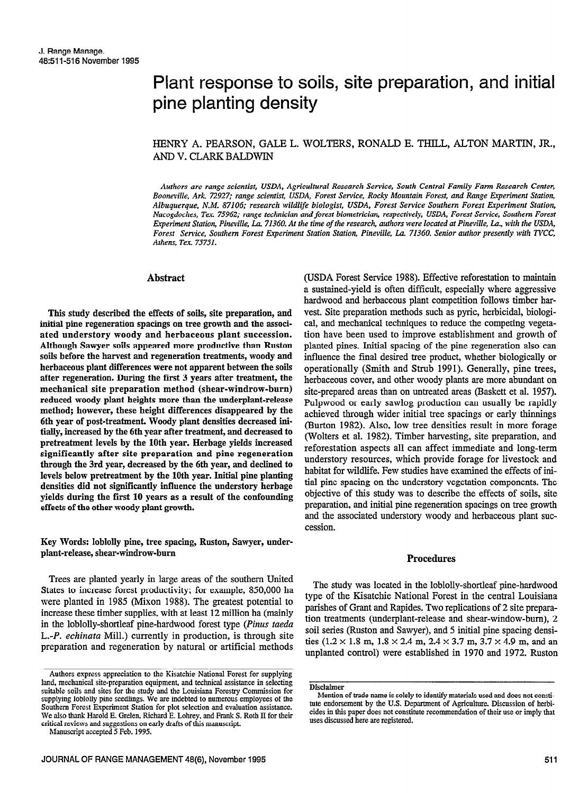# Plant response to soils, site preparation, and initial pine planting density

## HENRY A. PEARSON, GALE L. WOLTERS, RONALD E. THILL, ALTON MARTIN, JR., AND V. CLARK BALDWIN

Authors are range scientist, USDA, Agricultural Research Service, South Central Family Farm Research Center, Booneville, Ark. 72927; range scientist, USDA, Forest Service, Rocky Mountain Forest, and Range Experiment Station, Albuquerque, N.M. 87106; research wildlife biologist, USDA, Forest Service Southern Forest Experiment Station, Nacogdoches, Tex 75962: range technician and forest biometrician, respectively, USDA, Forest Service, Southern Forest Experiment Station, Pineville, La. 71360. At the time of the research, authors were located at Pineville, La., with the USDA, Forest Service, Southern Forest Experiment Station Station, Pineville, La. 71360. Senior author presently with TVCC, Athens, Tex. 75751.

## Abstract

This study described the effects of soils, site preparation, and initial pine regeneration spacings on tree growth and the associated understory woody and herbaceous plant succession. Although Sawyer soils appeared more productive than Ruston soils before the harvest and regeneration treatments, woody and herbaceous plant differences were not apparent between the soils after regeneration. During the first 3 years after treatment, the mechanical site preparation method (shear-windrow-burn) reduced woody plant heights more than the underplant-release method; however, these height differences disappeared by the 6th year of post-treatment. Woody plant densities decreased initially, increased by the 6th year after treatment, and decreased to pretreatment levels by the 10th year. Herbage yields increased significantly after site preparation and pine regeneration through the 3rd year, decreased by the 6th year, and declined to levels below pretreatment by the 10th year. Initial pine planting densities did not significantly intluence the understory herbage yields during the first 10 years as a result of the confounding effects of the other woody plant growth.

Key Words: loblolly pine, tree spacing, Ruston, Sawyer, underplant-release, shear-windrow-burn

Trees are planted yearly in large areas of the southern United States to increase forest productivity; for example, 850,000 ha were planted in 1985 (Mixon 1988). The greatest potential to increase these timber supplies, with at least 12 million ha (mainly in the loblolly-shortleaf pine-hardwood forest type (Pinus taeda L.-P. echinata Mill.) currently in production, is through site preparation and regeneration by natural or artificial methods

Manuscript accepted 5 Feb. 1995.

(USDA Forest Service 198s). Effective reforestation to maintain a sustained-yield is often difficult, especially where aggressive hardwood and herbaceous plant competition follows timber harvest. Site preparation methods such as pyric, herbicidal, biological, and mechanical techniques to reduce the competing vegetation have been used to improve establishment and growth of planted pines. Initial spacing of the pine regeneration also can influence the final desired tree product, whether biologically or operationally (Smith and Strub 1991). Generally, pine trees, herbaceous cover, and other woody plants are more abundant on site-prepared areas than on untreated areas (Baskett et al. 1957). Pulpwood or early sawlog production can usually be rapidly achieved through wider initial tree spacings or early thinnings (Burton 1982). Also, low tree densities result in more forage (Walters et al. 1982). Timber harvesting, site preparation, and reforestation aspects all can affect immediate and long-term understory resources, which provide forage for livestock and habitat for wildlife. Few studies have examined the effects of initial pine spacing on the understory vegetation components. The objective of this study was to describe the effects of soils, site preparation, and initial pine regeneration spacings on tree growth and the associated understory woody and herbaceous plant succession.

## Procedures

The study was located in the loblolly-shortleaf pine-hardwood type of the Kisatchie National Forest in the central Louisiana parishes of Grant and Rapides. Two replications of 2 site preparation treatments (underplant-release and shear-window-bum), 2 soil series (Ruston and Sawyer), and 5 initial pine spacing densities ( $1.2 \times 1.8$  m,  $1.8 \times 2.4$  m,  $2.4 \times 3.7$  m,  $3.7 \times 4.9$  m, and an unplanted control) were established in 1970 and 1972. Ruston

Authors express appreciation to the Kisatchie National Forest for supplying land, mechanical site-preparation equipment, and technical assistance in selecting suitable soils and sites for the study and the Louisiana Forestry Commission for supplying loblolly pine seedlings. We are indebted to numerous employees of the Southern Forest Experiment Station for plot selection and evaluation assistance. We also thank Harold E. Grelen, Richard E. Lohrey, and Frank S. Roth II for their critical reviews and suggestions on early drafts of this manuscript.

Disclaimer

Mention of trade name is solely to identify materials used and does not constitute endorsement by the U.S. Department of Agriculture. Discussion of herbicides in this paper does not constitute recommendation of their use or imply that uses discussed here are registered.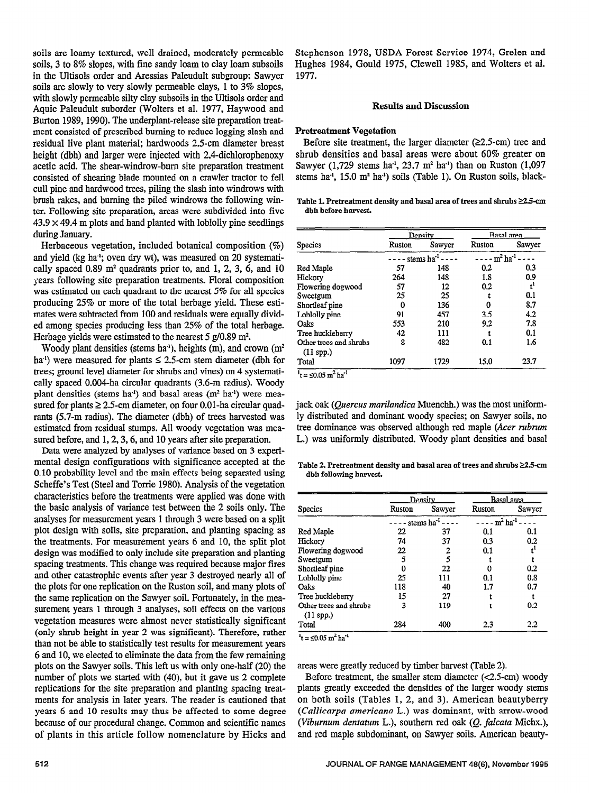soils are loamy textured, well drained, moderately permeable soils, 3 to 8% slopes, with fine sandy loam to clay loam subsoils in the Ultisols order and Aressias Paleudult subgroup; Sawyer soils are slowly to very slowly permeable clays, 1 to 3% slopes, with slowly permeable silty clay subsoils in the Ultisols order and Aquic Paleudult suborder (Walters et al. 1977, Haywood and Burton 1989, 1990). The underplant-release site preparation treatment consisted of prescribed burning to reduce logging slash and residual live plant material; hardwoods 2.5-cm diameter breast height (dbh) and larger were injected with 2,4-dichlorophenoxy acetic acid. The shear-windrow-bum site preparation treatment consisted of shearing blade mounted on a crawler tractor to fell cull pine and hardwood trees, piling the slash into windrows with brush rakes, and burning the piled windrows the following winter. Following site preparation, areas were subdivided into five  $43.9 \times 49.4$  m plots and hand planted with loblolly pine seedlings during January.

Herbaceous vegetation, included botanical composition (%) and yield (kg ha"; oven dry wt), was measured on 20 systematically spaced  $0.89$  m<sup>2</sup> quadrants prior to, and  $1, 2, 3, 6$ , and  $10$ years following site preparation treatments. Floral composition was estimated on each quadrant to the nearest 5% for all species producing 25% or more of the total herbage yield. These estimates were subtracted from 100 and residuals were equally divided among species producing less than 25% of the total herbage. Herbage yields were estimated to the nearest 5  $g/0.89$  m<sup>2</sup>.

Woody plant densities (stems ha<sup>1</sup>), heights (m), and crown  $(m^2)$ ha<sup>-1</sup>) were measured for plants  $\leq$  2.5-cm stem diameter (dbh for trees; ground level diameter for shrubs and vines) on 4 systematically spaced 0.004-ha circular quadrants (3.6-m radius). Woody plant densities (stems ha<sup>1</sup>) and basal areas ( $m<sup>2</sup>$  ha<sup>1</sup>) were measured for plants  $\geq 2.5$ -cm diameter, on four 0.01-ha circular quadrants (5.7-m radius). The diameter (dbh) of trees harvested was estimated from residual stumps. All woody vegetation was measured before, and 1, 2, 3, 6, and 10 years after site preparation.

Data were analyzed by analyses of variance based on 3 experimental design configurations with significance accepted at the 0.10 probability level and the main effects being separated using 0.10 probability level and the main effects being separated using Scheffe's Test (Steel and Torrie 1980). Analysis of the vegetation characteristics before the treatments were applied was done with the basic analysis of variance test between the 2 soils only. The analyses for measurement years 1 through 3 were based on a split anaryses for ineasurement years I through 5 were based on a spire prot design with some, site preparation, and planning spacing as the treatments. For measurement years 6 and 10, the split plot design was modified to only include site preparation and planting spacing treatments. This change was required because major fires and other catastrophic events after year 3 destroyed nearly all of the plots for one replication on the Ruston soil, and many plots of the same replication on the Sawyer soil. Fortunately, in the measurement years 1 through 3 analyses, soil effects on the various vegetation measures were almost never statistically significant (only shrub height in year  $2$  was significant). Therefore, rather than not be able to statistically test results for measurement years 6 and 10, we elected to eliminate the data from the few remaining plots on the Sawyer soils. This left us with only one-half (20) the number of plots we started with  $(40)$ , but it gave us 2 complete replications for the site preparation and planting spacing treatments for analysis in later years. The reader is cautioned that years 6 and 10 results may thus be affected to some degree. because of our procedural change. Common and scientific names<br>of plants in this article follow nomenclature by Hicks and

Stephenson 1978, USDA Forest Service 1974, Grelen and Hughes 1984, Gould 1975, Clewell 1985, and Wolters et al. 1977.

#### Results and Discussion

## Pretreatment Vegetation

Before site treatment, the larger diameter  $(22.5 \text{-} cm)$  tree and shrub densities and basal areas were about 60% greater on Sawyer (1,729 stems ha<sup>-1</sup>, 23.7 m<sup>2</sup> ha<sup>-1</sup>) than on Ruston (1,097 stems ha<sup>-1</sup>, 15.0 m<sup>2</sup> ha<sup>-1</sup>) soils (Table 1). On Ruston soils, black-

#### Table 1. Pretreatment density and basal area of trees and shrubs  $\geq 2.5$ -cm dbh before harvest.

|                                       |        | Density                | Basal area |                        |
|---------------------------------------|--------|------------------------|------------|------------------------|
| Species                               | Ruston | Sawyer                 | Ruston     | Sawyer                 |
|                                       |        | stems ha <sup>-1</sup> |            | $m^2$ ha <sup>-1</sup> |
| Red Maple                             | 57     | 148                    | 0.2        | 0.3                    |
| Hickory                               | 264    | 148                    | 1.8        | 0.9                    |
| Flowering dogwood                     | 57     | 12                     | 0.2        | ť                      |
| Sweetgum                              | 25     | 25                     |            | 0.1                    |
| Shortleaf pine                        | 0      | 136                    |            | 8.7                    |
| Loblolly pine                         | 91     | 457                    | 3.5        | 4.2                    |
| Oaks                                  | 553    | 210                    | 9.2        | 7.8                    |
| Tree huckleberry                      | 42     | 111                    |            | 0.1                    |
| Other trees and shrubs<br>$(11$ spp.) | 8      | 482                    | 0.1        | 1.6                    |
| Total                                 | 1097   | 1729                   | 15.0       | 23.7                   |

jack oak (Quercus marilandica Muenchh.) was the most uniformly distributed and dominant woody species; on Sawyer soils, no tree dominance was observed although red maple (Acer rubrum L.) was uniformly distributed. Woody plant densities and basal

Table 2. Pretreatment density and basal area of trees and shrubs  $\geq$ 2.5-cm dbh following harvest.

|                                       |                              | Density | Basal area             |        |
|---------------------------------------|------------------------------|---------|------------------------|--------|
| Species                               | Ruston                       | Sawyer  | Ruston                 | Sawyer |
|                                       | $-$ - stems ha <sup>-1</sup> |         | $m^2$ ha <sup>-1</sup> |        |
| Red Maple                             | 22                           | 37      | 0.1                    | 0.1    |
| Hickory                               | 74                           | 37      | 0.3                    | 0.2    |
| Flowering dogwood                     | 22                           | 2       | 0.1                    | ť      |
| Sweetgum                              | 5                            | 5       |                        |        |
| Shortleaf pine                        | n                            | 22      |                        | 0.2    |
| Loblolly pine                         | 25                           | 111     | 0.1                    | 0.8    |
| Oaks                                  | 118                          | 40      | 1.7                    | 0.7    |
| Tree huckleberry                      | 15                           | 27      |                        |        |
| Other trees and shrubs<br>$(11$ spp.) | 3                            | 119     |                        | 0.2    |
| Total                                 | 284                          | 400     | 2.3                    | 2.2    |

are as were greatly reduced by time  $\mathcal{L}_{\mathcal{A}}$ areas were greatly reduced by timber harvest (Table 2).

Before treatment, the smaller stem diameter  $(<2.5$ -cm) woody plants greatly exceeded the densities of the larger woody stems on both soils (Tables 1, 2, and 3). American beautyberry (Callicarpa americana L.) was dominant, with arrow-wood (Viburnum dentatum L.), southern red oak (Q. falcata Michx.), and red maple subdominant, on Sawyer soils. American beauty-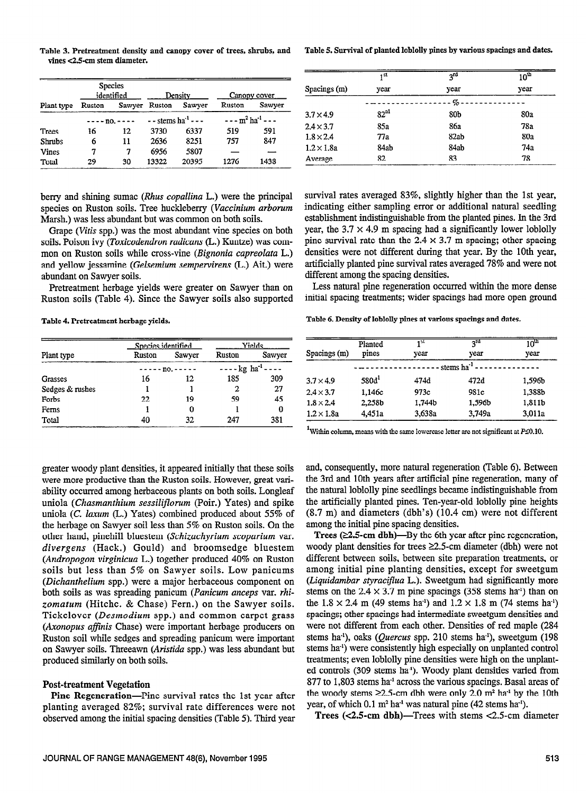Table 3. Pretreatment density and canopy cover of trees, shrubs, and vines <2.5-cm stem diameter.

|               | <b>Species</b><br>identified |    | Density                            |        | Canopy cover    |        |
|---------------|------------------------------|----|------------------------------------|--------|-----------------|--------|
| Plant type    | Ruston                       |    | Sawyer Ruston                      | Sawyer | Ruston          | Sawyer |
|               | $--- no. ---$                |    | $-$ - stems ha <sup>-1</sup> - - - |        | $---m2 ha-1---$ |        |
| <b>Trees</b>  | 16                           | 12 | 3730                               | 6337   | 519             | 591    |
| <b>Shrubs</b> | 6                            | 11 | 2636                               | 8251   | 757             | 847    |
| Vines         | 7                            | 7  | 6956                               | 5807   |                 |        |
| Total         | 29                           | 30 | 13322                              | 20395  | 1276            | 1438   |

berry and shining sumac (Rhus copallina L.) were the principal species on Ruston soils. Tree huckleberry (Vaccinium arborum Marsh.) was less abundant but was common on both soils.

Grape (Vitis spp.) was the most abundant vine species on both soils. Poison ivy (Toxicodendron radicans (L.) Kuntze) was common on Ruston soils while cross-vine (Bignonia capreolata L.) and yellow jessamine (Gelsemium sempervirens (L.) Ait.) were abundant on Sawyer soils.

Pretreatment herbage yields were greater on Sawyer than on Ruston soils (Table 4). Since the Sawyer soils also supported

Table 4. Pretreatment herbage yields.

|                 | Species identified |               | Yields                           |        |  |
|-----------------|--------------------|---------------|----------------------------------|--------|--|
| Plant type      | Ruston             | Sawyer        | Ruston                           | Sawyer |  |
|                 |                    | $--- no. ---$ | $---kg$ ha <sup>-1</sup> - - - - |        |  |
| Grasses         | 16                 | 12            | 185                              | 309    |  |
| Sedges & rushes |                    |               | 2                                | 27     |  |
| Forbs           | 22                 | 19            | 59                               | 45     |  |
| Ferns           |                    | 0             |                                  | 0      |  |
| Total           | 40                 | 32            | 247                              | 381    |  |

Less natural pine regeneration occurred within the more dense pine survival rate than the  $2.4 \times 3.7$  m spacing; other spacing densities were not different during that year. By the 10th year, artificially planted pine survival rates averaged 78% and were not different among the spacing densities.

survival rates averaged 83%, slightly higher than the 1st year, indicating either sampling error or additional natural seedling

establishment indistinguishable from the planted pines. In the 3rd year, the  $3.7 \times 4.9$  m spacing had a significantly lower loblolly

initial spacing treatments; wider spacings had more open ground

Table 6. Density of loblolly pines at various spacings aad dates.

|                   | Planted           | 151    | $2^{rd}$          | 10 <sup>th</sup> |
|-------------------|-------------------|--------|-------------------|------------------|
| Spacings (m)      | pines             | vear   | year              | year             |
|                   |                   |        | stems $ha^{-1}$ . |                  |
| $3.7 \times 4.9$  | 580d <sup>1</sup> | 474d   | 472d              | 1,596b           |
| $2.4 \times 3.7$  | 1,146c            | 973c   | 981c              | 1,388b           |
| $1.8 \times 2.4$  | 2,258b            | 1,744b | 1,596b            | 1,811b           |
| $1.2 \times 1.8a$ | 4.451a            | 3,638a | 3.749a            | 3.011a           |

<sup>1</sup>Within column, means with the same lowercase letter are not significant at  $P \le 0.10$ .

greater woody plant densities, it appeared initially that these soils were more productive than the Ruston soils. However, great variability occurred among herbaceous plants on both soils. Longleaf uniola (Chasmanthium sessiliflorum (Poir.) Yates) and spike uniola (C. laxum (L.) Yates) combined produced about 55% of the herbage on Sawyer soil less than 5% on Ruston soils. On the other hand, pinehill bluestem (Schizachyrium scoparium var. divergens (Hack.) Gould) and broomsedge bluestem (Andropogon virginicua L.) together produced 40% on Ruston soils but less than 5% on Sawyer soils. Low panicums (Dichanthelium spp.) were a major herbaceous component on both soils as was spreading panicum (Panicum anceps var. rhizomatum (Hitchc. & Chase) Fern.) on the Sawyer soils. Tickclover (Desmodium spp.) and common carpet grass (Axonopus affinis Chase) were important herbage producers on Ruston soil while sedges and spreading panicum were important on Sawyer soils. Threeawn (Aristida spp.) was less abundant but produced similarly on both soils.

## Post-treatment Vegetation

Pine Regeneration-Pine survival rates the 1st year after planting averaged 82%; survival rate differences were not observed among the initial spacing densities (Table 5). Third year

and, consequently, more natural regeneration (Table 6). Between the 3rd and 10th years after artificial pine regeneration, many of the natural loblolly pine seedlings became indistinguishable from the artificially planted pines. Ten-year-old loblolly pine heights (8.7 m) and diameters (dbh's) (10.4 cm) were not different among the initial pine spacing densities.

Trees  $(≥2.5-cm dbh)$ —By the 6th year after pine regeneration, woody plant densities for trees  $\geq 2.5$ -cm diameter (dbh) were not different between soils, between site preparation treatments, or among initial pine planting densities, except for sweetgum (Liquidambar styraciflua L.). Sweetgum had significantly more stems on the 2.4  $\times$  3.7 m pine spacings (358 stems ha<sup>-1</sup>) than on the  $1.8 \times 2.4$  m (49 stems ha<sup>-1</sup>) and  $1.2 \times 1.8$  m (74 stems ha<sup>-1</sup>) spacings; other spacings had intermediate sweetgum densities and were not different from each other. Densities of red maple (284 stems ha<sup>1</sup>), oaks (Quercus spp. 210 stems ha<sup>1</sup>), sweetgum (198 stems ha-') were consistently high especially on unplanted control treatments; even loblolly pine densities were high on the unplanted controls (309 stems ha-'). Woody plant densities varied from 877 to 1,803 stems ha' across the various spacings. Basal areas of the woody stems  $\geq 2.5$ -cm dbh were only 2.0 m<sup>2</sup> ha<sup>-1</sup> by the 10th year, of which  $0.1 \text{ m}^2$  ha<sup>-1</sup> was natural pine (42 stems ha<sup>-1</sup>).

Trees  $(<2.5$ -cm dbh)-Trees with stems  $<2.5$ -cm diameter

Table 5. Survival of planted loblolly pines by various spacings and dates.

|                   | 1 <sup>st</sup>  | $2^{rd}$ | 10 <sup>th</sup> |
|-------------------|------------------|----------|------------------|
| Spacings (m)      | vear             | vear     | vear             |
|                   |                  | - % -    |                  |
| $3.7 \times 4.9$  | 82 <sup>al</sup> | 80b      | 80a              |
| $2.4 \times 3.7$  | 85a              | 86а      | 78a              |
| $1.8 \times 2.4$  | 77a              | 82ab     | 80a              |
| $1.2 \times 1.8a$ | 84ab             | 84ab     | 74a              |
| Average           | 82               | 83       | 78               |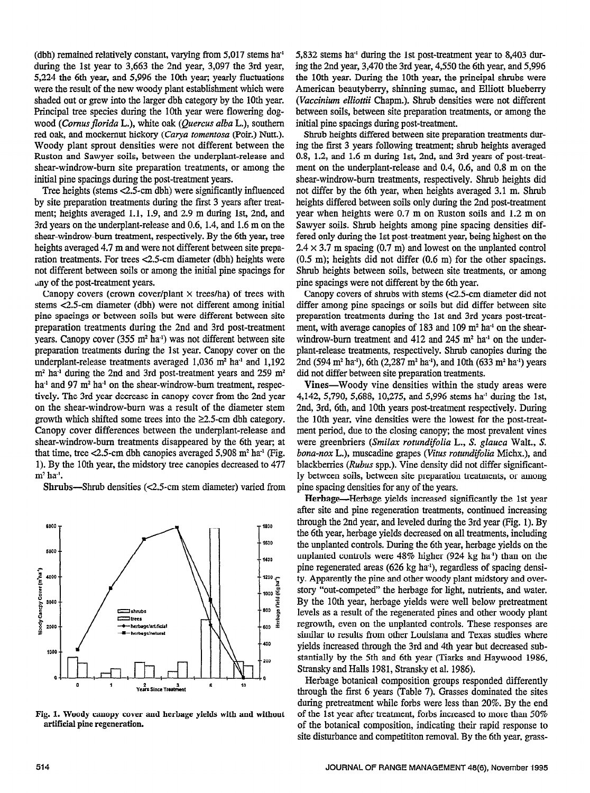(dbh) remained relatively constant, varying from 5,017 stems ha' during the 1st year to 3,663 the 2nd year, 3,097 the 3rd year, 5,224 the 6th year, and 5,996 the 10th year, yearly fluctuations were the result of the new woody plant establishment which were shaded out or grew into the larger dbh category by the 10th year. principal tree species during the 10th year were flowering dogwood (Cornus florida L.), white oak (Quercus alba L.), southern red oak, and mockernut hickory (Carya tomentosa (Poir.) Nutt.). Woody plant sprout densities were not different between the Ruston and Sawyer soils, between the underplant-release and shear-windrow-bum site preparation treatments, or among the initial pine spacings during the post-treatment years.

Tree heights (stems  $<$ 2.5-cm dbh) were significantly influenced by site preparation treatments during the first 3 years after treatment; heights averaged 1.1, 1.9, and 2.9 m during lst, 2nd, and 3rd years on the underplant-release and 0.6, 1.4, and 1.6 m on the shear-windrow-bum treatment, respectively. By the 6th year, tree heights averaged 4.7 m and were not different between site preparation treatments. For trees <2.5-cm diameter (dbh) heights were not different between soils or among the initial pine spacings for any of the post-treatment years.

Canopy covers (crown cover/plant  $\times$  trees/ha) of trees with stems c2.5-cm diameter (dbh) were not different among initial pine spacings or between soils but were different between site preparation treatments during the 2nd and 3rd post-treatment years. Canopy cover  $(355 \text{ m}^2 \text{ ha}^1)$  was not different between site preparation treatments during the 1st year. Canopy cover on the proputation available danny are 1st jour. Campy cover on the underplant-release treatments averaged 1,036 m<sup>2</sup> ha<sup>-1</sup> and 1,192 m<sup>2</sup> ha<sup>-1</sup> during the 2nd and 3rd post-treatment years and 259 m<sup>2</sup>  $h_{\text{max}}$  and  $g_{\text{max}}$  and  $g_{\text{max}}$  on the shear-windrow-bum treatment, respectively.  $\frac{1}{2}$  and  $\frac{1}{2}$  in the 3rd group wind  $\frac{1}{2}$  contribution  $\frac{1}{2}$  in  $\frac{1}{2}$  in  $\frac{1}{2}$  in  $\frac{1}{2}$  in  $\frac{1}{2}$  in  $\frac{1}{2}$  in  $\frac{1}{2}$  in  $\frac{1}{2}$  in  $\frac{1}{2}$  in  $\frac{1}{2}$  in  $\frac{1}{2}$  in  $\frac{1}{2}$ avery. The she year accrease in canopy cover from the zna year growth which shifted some trees into the X<sub>2</sub>.5-cm distribution some trees into the X<sub>2</sub>.5-cm dbh category. growth which shifted some trees into the  $\geq 2.5$ -cm dbh category. Canopy cover differences between the underplant-release and shear-windrow-burn treatments disappeared by the 6th year; at that time, tree  $<$ 2.5-cm dbh canopies averaged 5,908 m<sup>2</sup> ha<sup>-1</sup> (Fig. 1). By the 10th year, the midstory tree canopies decreased to 477  $m^2$  ha'.

 $Shrubs—Shrub$  densities ( $<$ 2.5-cm stem diameter) varied from



Fig. 1. Woody canopy cover and herbage yields with and without artificial pine regeneration.

5,832 stems ha' during the 1st post-treatment year to 8,403 during the 2nd year, 3,470 the 3rd year, 4,550 the 6th year, and 5,996 the 10th year. During the 10th year, the principal shrubs were American beautyberry, shinning sumac, and Elliott blueberry (Vaccinium elliottii Chapm.). Shrub densities were not different between soils, between site preparation treatments, or among the initial pine spacings during post-treatment.

Shrub heights differed between site preparation treatments during the first 3 years following treatment; shrub heights averaged 0.8, 1.2, and 1.6 m during lst, 2nd, and 3rd years of post-treatment on the underplant-release and 0.4, 0.6, and 0.8 m on the shear-windrow-bum treatments, respectively. Shrub heights did not differ by the 6th year, when heights averaged 3.1 m. Shrub heights differed between soils only during the 2nd post-treatment year when heights were 0.7 m on Ruston soils and 1.2 m on Sawyer soils. Shrub heights among pine spacing densities differed only during the 1st post-treatment year, being highest on the  $2.4 \times 3.7$  m spacing (0.7 m) and lowest on the unplanted control (0.5 m); heights did not differ (0.6 m) for the other spacings. Shrub heights between soils, between site treatments, or among pine spacings were not different by the 6th year.

Canopy covers of shrubs with stems (<2.5-cm diameter did not differ among pine spacings or soils but did differ between site preparation treatments during the 1st and 3rd years post-treatment, with average canopies of 183 and 109  $m<sup>2</sup>$  ha<sup>-1</sup> on the shearwindrow-burn treatment and  $412$  and  $245$  m<sup>2</sup> ha<sup>-1</sup> on the underplant-release treatments, respectively. Shrub canopies during the 2nd (594 m<sup>2</sup> ha<sup>-1</sup>), 6th (2,287 m<sup>2</sup> ha<sup>-1</sup>), and 10th (633 m<sup>2</sup> ha<sup>-1</sup>) years did not differ between site preparation treatments.

who direct convent one preparation dentities.<br>Where a Wesdie star densities within the study areas were  $44.48$ , 5,790, 5,688, 10,275, and 5,996 stems have in Ist, and  $4.4$ 4,142, 5,790, 5,688, 10,275, and 5,996 stems ha<sup>1</sup> during the 1st, 2nd, 3rd, 6th, and 10th years post-treatment respectively. During the 10th year, vine densities were the lowest for the post-treatment period, due to the closing canopy; the most prevalent vines were greenbriers (Smilax rotundifolia L., S. glauca Walt., S. bona-nox L.), muscadine grapes (Vitus rotundifolia Michx.), and blackberries (Rubus spp.). Vine density did not differ significantly between soils, between site preparation treatments, or among pine spacing densities for any of the years.

Herbage—Herbage yields increased significantly the 1st year after site and pine regeneration treatments, continued increasing through the 2nd year, and leveled during the 3rd year (Fig. 1). By the 6th year, herbage yields decreased on all treatments, including the unplanted controls. During the 6th year, herbage yields on the unplanted controls were 48% higher (924 kg ha') than on the pine regenerated areas (626 kg ha<sup>1</sup>), regardless of spacing density. Apparently the pine and other woody plant midstory and overstory "out-competed" the herbage for light, nutrients, and water. By the 10th year, herbage yields were well below pretreatment levels as a result of the regenerated pines and other woody plant regrowth, even on the unplanted controls. These responses are similar to results from other Louisiana and Texas studies where yields increased through the 3rd and 4th year but decreased substantially by the 5th and 6th year (Tiarks and Haywood 1986, Stransky and Halls 1981, Stransky et al. 1986).

Herbage botanical composition groups responded differently through the first 6 years (Table 7). Grasses dominated the sites during pretreatment while forbs were less than 20%. By the end of the 1st year after treatment, forbs increased to more than  $50\%$ of the botanical composition, indicating their rapid response to site disturbance and competititon removal. By the 6th year, grass-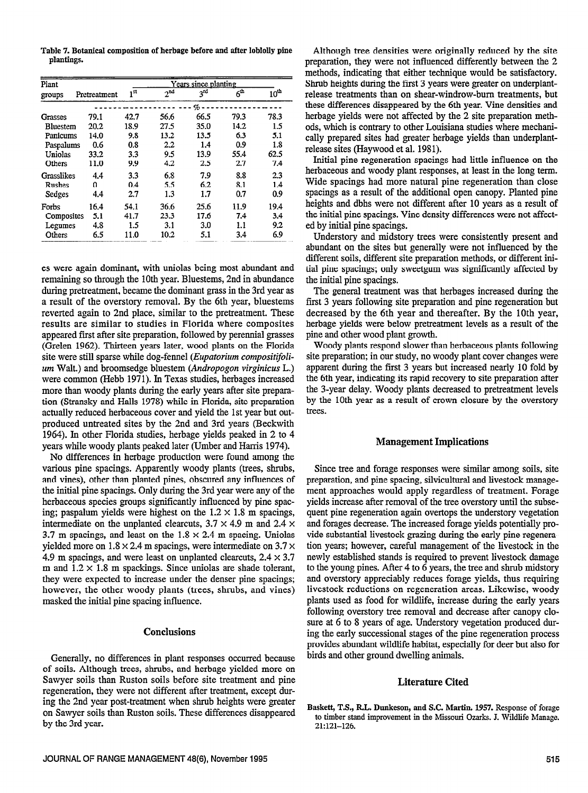Table 7. Botanical composition of herbage before and after loblolly pine plantings.

| Plant           | Years since planting |                 |                 |                 |                 |               |
|-----------------|----------------------|-----------------|-----------------|-----------------|-----------------|---------------|
| groups          | Pretreatment         | 1 <sup>st</sup> | 2 <sup>nd</sup> | 3 <sup>rd</sup> | 6 <sup>th</sup> | $10^{\rm th}$ |
|                 |                      |                 |                 | q,              |                 |               |
| Grasses         | 79.1                 | 42.7            | 56.6            | 66.5            | 79.3            | 78.3          |
| <b>Bluestem</b> | 20.2                 | 18.9            | 27.5            | 35.0            | 14.2            | 1.5           |
| Panicums        | 14.0                 | 9.8             | 13.2            | 13.5            | 6.3             | 5.1           |
| Paspalums       | 0.6                  | 0.8             | 2.2             | 1.4             | 0.9             | 1.8           |
| Uniolas         | 33.2                 | 3.3             | 9.5             | 13.9            | 55.4            | 62.5          |
| Others          | 11.0                 | 9.9             | 4.2             | 2.5             | 2.7             | 7.4           |
| Grasslikes      | 4.4                  | 3.3             | 6.8             | 7.9             | 8.8             | 2.3           |
| <b>Rushes</b>   | 0                    | 0.4             | 5.5             | 6.2             | 8.1             | 1.4           |
| Sedges          | 4.4                  | 2.7             | 1.3             | 1.7             | 0.7             | 0.9           |
| Forbs           | 16.4                 | 54.1            | 36.6            | 25.6            | 11.9            | 19.4          |
| Composites      | 5.1                  | 41.7            | 23.3            | 17.6            | 7.4             | 3.4           |
| Legumes         | 4.8                  | 1.5             | 3.1             | 3.0             | 1.1             | 9.2           |
| Others          | 6.5                  | 11.0            | 10.2            | 5.1             | 3.4             | 6.9           |

es were again dominant, with uniolas being most abundant and remaining so through the 10th year. Bluestems, 2nd in abundance during pretreatment, became the dominant grass in the 3rd year as a result of the overstory removal. By the 6th year, bluestems reverted again to 2nd place, similar to the pretreatment. These results are similar to studies in Florida where composites appeared first after site preparation, followed by perennial grasses (Grelen 1962). Thirteen years later, wood plants on the Florida site were still sparse while dog-fennel (*Eupatorium compositifoli*um Walt.) and broomsedge bluestem (Andropogon virginicus L.) were common (Hebb 1971). In Texas studies, herbages increased more than woody plants during the early years after site preparation (Stransky and Halls 1978) while in Florida, site preparation actually reduced herbaceous cover and yield the 1st year but outproduced untreated sites by the 2nd and 3rd years (Beckwith 1964). In other Florida studies, herbage yields peaked in 2 to 4 years while woody plants peaked later (Umber and Harris 1974).

No differences in herbage production were found among the various pine spacings. Apparently woody plants (trees, shrubs, and vines), other than planted pines, obscured any influences of the initial pine spacings. Only during the 3rd year were any of the herbaceous species groups significantly influenced by pine spacing; paspalum yields were highest on the  $1.2 \times 1.8$  m spacings, intermediate on the unplanted clearcuts,  $3.7 \times 4.9$  m and 2.4  $\times$ 3.7 m spacings, and least on the  $1.8 \times 2.4$  m spacing. Uniolas yielded more on  $1.8 \times 2.4$  m spacings, were intermediate on 3.7  $\times$ 4.9 m spacings, and were least on unplanted clearcuts,  $2.4 \times 3.7$ m and  $1.2 \times 1.8$  m spackings. Since uniolas are shade tolerant, they were expected to increase under the denser pine spacings; however, the other woody plants (trees, shrubs, and vines) masked the initial pine spacing influence.

## **Conclusions**

Generally, no differences in plant responses occurred because of soils. Although trees, shrubs, and herbage yielded more on Sawyer soils than Ruston soils before site treatment and pine regeneration, they were not different after treatment, except during the 2nd year post-treatment when shrub heights were greater on Sawyer soils than Ruston soils. These differences disappeared by the 3rd year.

Although tree densities were originally reduced by the site preparation, they were not influenced differently between the 2 methods, indicating that either technique would be satisfactory. Shrub heights during the first 3 years were greater on underplantrelease treatments than on shear-windrow-burn treatments, but these differences disappeared by the 6th year. Vine densities and herbage yields were not affected by the 2 site preparation methods, which is contrary to other Louisiana studies where mechanically prepared sites had greater herbage yields than underplantrelease sites (Haywood et al. 1981).

Initial pine regeneration spacings had little influence on the herbaceous and woody plant responses, at least in the long term. Wide spacings had more natural pine regeneration than close spacings as a result of the additional open canopy. Planted pine heights and dbhs were not different after 10 years as a result of the initial pine spacings. Vine density differences were not affected by initial pine spacings.

Understory and midstory trees were consistently present and abundant on the sites but generally were not influenced by the different soils, different site preparation methods, or different initial pine spacings; only sweetgum was significantly affected by the initial pine spacings.

The general treatment was that herbages increased during the first 3 years following site preparation and pine regeneration but decreased by the 6th year and thereafter. By the 10th year, herbage yields were below pretreatment levels as a result of the pine and other wood plant growth.

Woody plants respond slower than herbaceous plants following site preparation; in our study, no woody plant cover changes were apparent during the first 3 years but increased nearly 10 fold by the 6th year, indicating its rapid recovery to site preparation after the 3-year delay. Woody plants decreased to pretreatment levels by the 10th year as a result of crown closure by the overstory trees.

### **Management Implications**

Since tree and forage responses were similar among soils, site preparation, and pine spacing, silvicultural and livestock management approaches would apply regardless of treatment. Forage yields increase after removal of the tree overstory until the subsequent pine regeneration again overtops the understory vegetation and forages decrease. The increased forage yields potentially provide substantial livestock grazing during the early pine regeneration years; however, careful management of the livestock in the newly established stands is required to prevent livestock damage to the young pines. After 4 to 6 years, the tree and shrub midstory and overstory appreciably reduces forage yields, thus requiring livestock reductions on regeneration areas. Likewise, woody plants used as food for wildlife, increase during the early years following overstory tree removal and decrease after canopy closure at 6 to 8 years of age. Understory vegetation produced during the early successional stages of the pine regeneration process provides abundant wildlife habitat, especially for deer but also for birds and other ground dwelling animals.

#### **Literature Cited**

Baskett, T.S., R.L. Dunkeson, and S.C. Martin. 1957. Response of forage to timber stand improvement in the Missouri Ozarks. J. Wildlife Manage. 21:121-126.